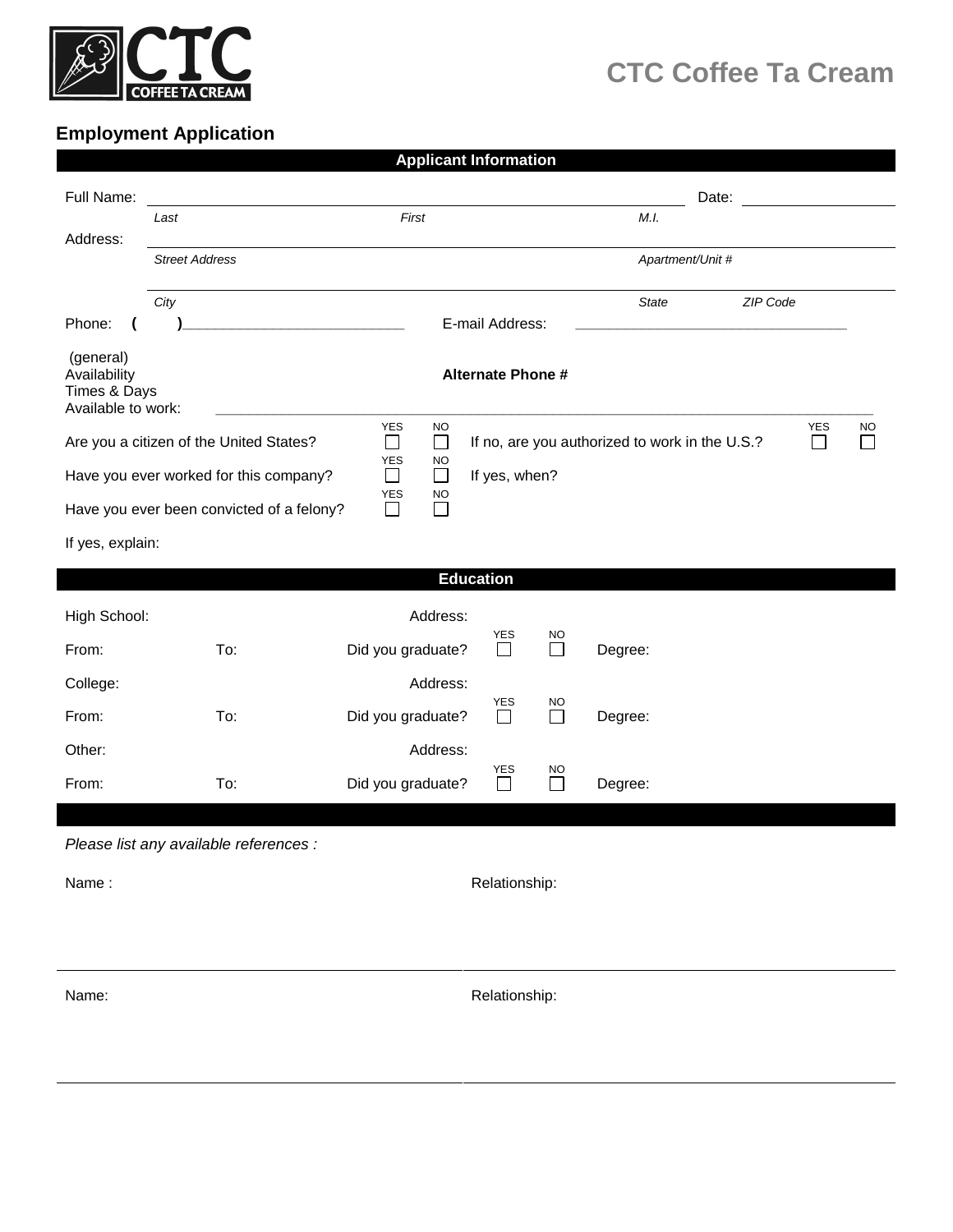

## **CTC Coffee Ta Cream**

## **Employment Application**

| <b>Applicant Information</b>                                                                                                                                         |                       |                                         |                   |                            |  |                     |                  |       |           |  |  |  |  |
|----------------------------------------------------------------------------------------------------------------------------------------------------------------------|-----------------------|-----------------------------------------|-------------------|----------------------------|--|---------------------|------------------|-------|-----------|--|--|--|--|
| Full Name:                                                                                                                                                           |                       |                                         |                   |                            |  |                     |                  | Date: |           |  |  |  |  |
|                                                                                                                                                                      | Last                  |                                         | First             |                            |  |                     | M.I.             |       |           |  |  |  |  |
| Address:                                                                                                                                                             | <b>Street Address</b> |                                         |                   |                            |  |                     | Apartment/Unit # |       |           |  |  |  |  |
|                                                                                                                                                                      | City                  |                                         |                   |                            |  |                     | State            |       | ZIP Code  |  |  |  |  |
| Phone:                                                                                                                                                               |                       | <u> 1980 - Johann Barbara, martin a</u> |                   | E-mail Address:            |  |                     |                  |       |           |  |  |  |  |
| (general)<br>Availability<br><b>Alternate Phone #</b><br>Times & Days<br>Available to work:                                                                          |                       |                                         |                   |                            |  |                     |                  |       |           |  |  |  |  |
| <b>YES</b><br><b>NO</b><br>YES<br>$\Box$<br>□<br>If no, are you authorized to work in the U.S.?<br>$\Box$<br>Are you a citizen of the United States?<br>$\mathbf{I}$ |                       |                                         |                   |                            |  |                     |                  |       | <b>NO</b> |  |  |  |  |
| <b>YES</b><br><b>NO</b><br>$\Box$<br>Have you ever worked for this company?<br>$\Box$<br>If yes, when?                                                               |                       |                                         |                   |                            |  |                     |                  |       |           |  |  |  |  |
| <b>YES</b><br><b>NO</b><br>Have you ever been convicted of a felony?<br>$\Box$<br>$\Box$                                                                             |                       |                                         |                   |                            |  |                     |                  |       |           |  |  |  |  |
| If yes, explain:                                                                                                                                                     |                       |                                         |                   |                            |  |                     |                  |       |           |  |  |  |  |
| <b>Education</b>                                                                                                                                                     |                       |                                         |                   |                            |  |                     |                  |       |           |  |  |  |  |
| High School:                                                                                                                                                         |                       |                                         | Address:          |                            |  |                     |                  |       |           |  |  |  |  |
| From:                                                                                                                                                                |                       | To:                                     | Did you graduate? | <b>YES</b><br>$\Box$       |  | NO.<br>П            | Degree:          |       |           |  |  |  |  |
| College:                                                                                                                                                             |                       |                                         | Address:          |                            |  |                     |                  |       |           |  |  |  |  |
| From:                                                                                                                                                                |                       | To:                                     | Did you graduate? | YES<br>$\Box$              |  | <b>NO</b><br>$\Box$ | Degree:          |       |           |  |  |  |  |
| Other:                                                                                                                                                               |                       |                                         | Address:          |                            |  |                     |                  |       |           |  |  |  |  |
| From:                                                                                                                                                                |                       | To:                                     | Did you graduate? | <b>YES</b><br>$\mathbf{L}$ |  | NO.<br>$\mathsf{L}$ | Degree:          |       |           |  |  |  |  |
|                                                                                                                                                                      |                       | Please list any available references :  |                   |                            |  |                     |                  |       |           |  |  |  |  |
| Name:                                                                                                                                                                |                       |                                         |                   |                            |  |                     |                  |       |           |  |  |  |  |
| Relationship:                                                                                                                                                        |                       |                                         |                   |                            |  |                     |                  |       |           |  |  |  |  |
|                                                                                                                                                                      |                       |                                         |                   |                            |  |                     |                  |       |           |  |  |  |  |
| Name:                                                                                                                                                                | Relationship:         |                                         |                   |                            |  |                     |                  |       |           |  |  |  |  |